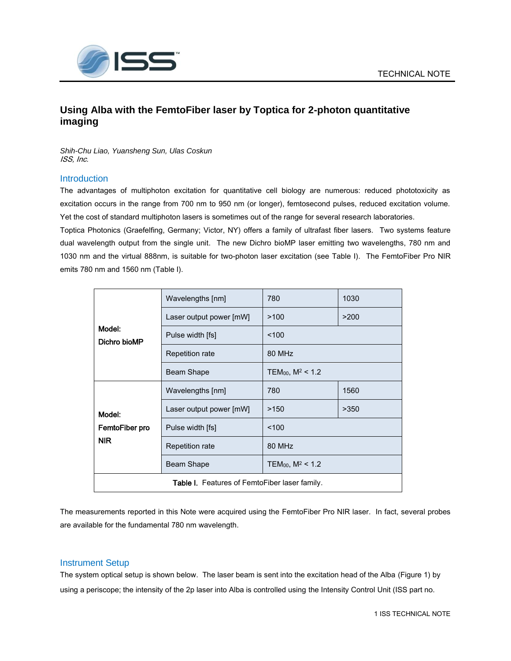

# **Using Alba with the FemtoFiber laser by Toptica for 2-photon quantitative imaging**

*Shih-Chu Liao, Yuansheng Sun, Ulas Coskun* ISS, Inc.

## **Introduction**

The advantages of multiphoton excitation for quantitative cell biology are numerous: reduced phototoxicity as excitation occurs in the range from 700 nm to 950 nm (or longer), femtosecond pulses, reduced excitation volume. Yet the cost of standard multiphoton lasers is sometimes out of the range for several research laboratories.

Toptica Photonics (Graefelfing, Germany; Victor, NY) offers a family of ultrafast fiber lasers. Two systems feature dual wavelength output from the single unit. The new Dichro bioMP laser emitting two wavelengths, 780 nm and 1030 nm and the virtual 888nm, is suitable for two-photon laser excitation (see Table I). The FemtoFiber Pro NIR emits 780 nm and 1560 nm (Table I).

| Model:<br>Dichro bioMP                        | Wavelengths [nm]        | 780                             | 1030 |  |  |
|-----------------------------------------------|-------------------------|---------------------------------|------|--|--|
|                                               | Laser output power [mW] | >100                            | >200 |  |  |
|                                               | Pulse width [fs]        | 100                             |      |  |  |
|                                               | Repetition rate         | 80 MHz                          |      |  |  |
|                                               | Beam Shape              | TEM <sub>00</sub> , $M^2$ < 1.2 |      |  |  |
| Model:<br>FemtoFiber pro<br><b>NIR</b>        | Wavelengths [nm]        | 780                             | 1560 |  |  |
|                                               | Laser output power [mW] | >150                            | >350 |  |  |
|                                               | Pulse width [fs]        | 100                             |      |  |  |
|                                               | Repetition rate         | 80 MHz                          |      |  |  |
|                                               | Beam Shape              | TEM <sub>00</sub> , $M^2$ < 1.2 |      |  |  |
| Table I. Features of FemtoFiber laser family. |                         |                                 |      |  |  |

The measurements reported in this Note were acquired using the FemtoFiber Pro NIR laser. In fact, several probes are available for the fundamental 780 nm wavelength.

## Instrument Setup

The system optical setup is shown below. The laser beam is sent into the excitation head of the Alba (Figure 1) by using a periscope; the intensity of the 2p laser into Alba is controlled using the Intensity Control Unit (ISS part no.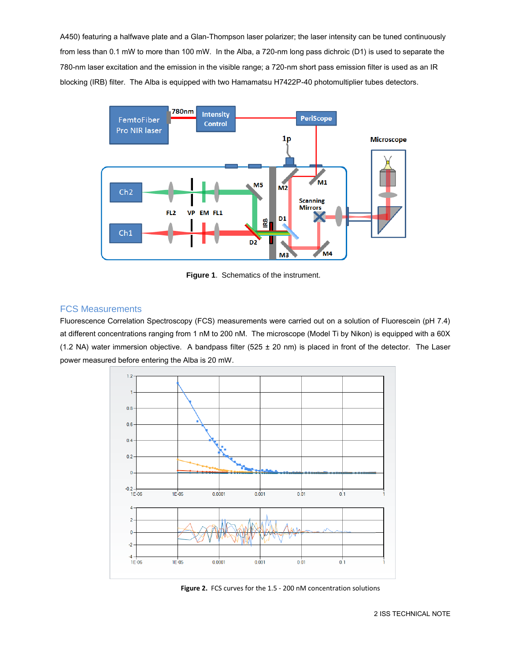A450) featuring a halfwave plate and a Glan-Thompson laser polarizer; the laser intensity can be tuned continuously from less than 0.1 mW to more than 100 mW. In the Alba, a 720-nm long pass dichroic (D1) is used to separate the 780-nm laser excitation and the emission in the visible range; a 720-nm short pass emission filter is used as an IR blocking (IRB) filter. The Alba is equipped with two Hamamatsu H7422P-40 photomultiplier tubes detectors.



**Figure 1**. Schematics of the instrument.

# FCS Measurements

Fluorescence Correlation Spectroscopy (FCS) measurements were carried out on a solution of Fluorescein (pH 7.4) at different concentrations ranging from 1 nM to 200 nM. The microscope (Model Ti by Nikon) is equipped with a 60X (1.2 NA) water immersion objective. A bandpass filter (525 ± 20 nm) is placed in front of the detector. The Laser power measured before entering the Alba is 20 mW.



**Figure 2.** FCS curves for the 1.5 - 200 nM concentration solutions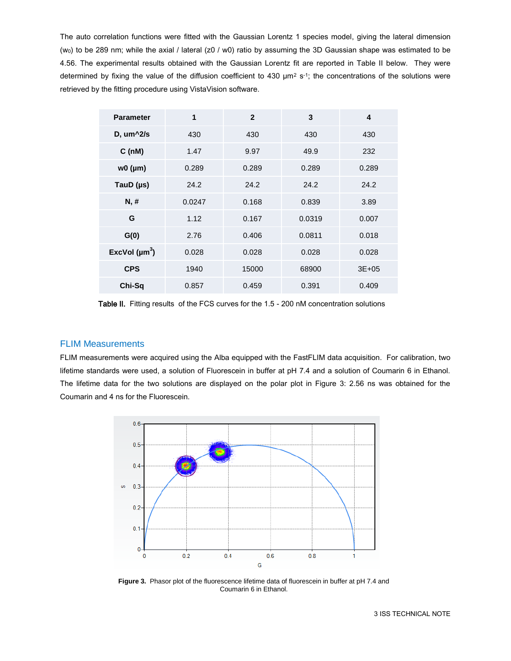The auto correlation functions were fitted with the Gaussian Lorentz 1 species model, giving the lateral dimension (w0) to be 289 nm; while the axial / lateral (z0 / w0) ratio by assuming the 3D Gaussian shape was estimated to be 4.56. The experimental results obtained with the Gaussian Lorentz fit are reported in Table II below. They were determined by fixing the value of the diffusion coefficient to 430  $\mu$ m<sup>2</sup> s<sup>-1</sup>; the concentrations of the solutions were retrieved by the fitting procedure using VistaVision software.

| <b>Parameter</b>   | 1      | $\mathbf{2}$ | 3      | 4         |
|--------------------|--------|--------------|--------|-----------|
| $D, um^2/s$        | 430    | 430          | 430    | 430       |
| C(nM)              | 1.47   | 9.97         | 49.9   | 232       |
| $w0$ ( $\mu$ m)    | 0.289  | 0.289        | 0.289  | 0.289     |
| TauD $(\mu s)$     | 24.2   | 24.2         | 24.2   | 24.2      |
| N, H               | 0.0247 | 0.168        | 0.839  | 3.89      |
| G                  | 1.12   | 0.167        | 0.0319 | 0.007     |
| G(0)               | 2.76   | 0.406        | 0.0811 | 0.018     |
| ExcVol $(\mu m^3)$ | 0.028  | 0.028        | 0.028  | 0.028     |
| <b>CPS</b>         | 1940   | 15000        | 68900  | $3E + 05$ |
| Chi-Sq             | 0.857  | 0.459        | 0.391  | 0.409     |

Table II. Fitting results of the FCS curves for the 1.5 - 200 nM concentration solutions

#### FLIM Measurements

FLIM measurements were acquired using the Alba equipped with the FastFLIM data acquisition. For calibration, two lifetime standards were used, a solution of Fluorescein in buffer at pH 7.4 and a solution of Coumarin 6 in Ethanol. The lifetime data for the two solutions are displayed on the polar plot in Figure 3: 2.56 ns was obtained for the Coumarin and 4 ns for the Fluorescein.



**Figure 3.** Phasor plot of the fluorescence lifetime data of fluorescein in buffer at pH 7.4 and Coumarin 6 in Ethanol.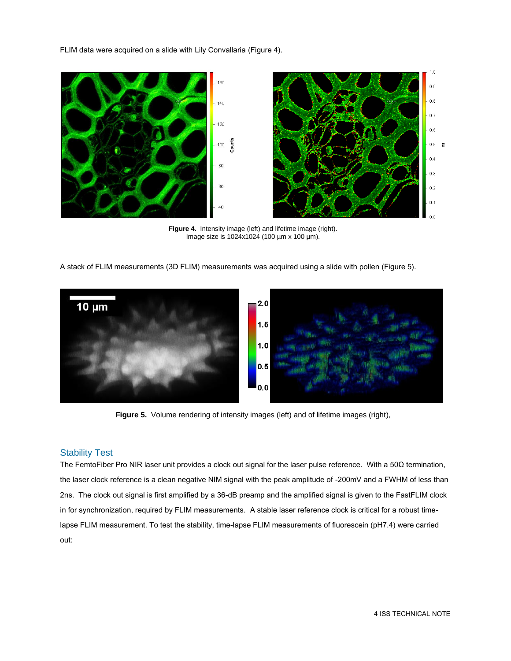FLIM data were acquired on a slide with Lily Convallaria (Figure 4).



**Figure 4.** Intensity image (left) and lifetime image (right). Image size is 1024x1024 (100 µm x 100 µm).

A stack of FLIM measurements (3D FLIM) measurements was acquired using a slide with pollen (Figure 5).



Figure 5. Volume rendering of intensity images (left) and of lifetime images (right),

#### Stability Test

The FemtoFiber Pro NIR laser unit provides a clock out signal for the laser pulse reference. With a 50Ω termination, the laser clock reference is a clean negative NIM signal with the peak amplitude of -200mV and a FWHM of less than 2ns. The clock out signal is first amplified by a 36-dB preamp and the amplified signal is given to the FastFLIM clock in for synchronization, required by FLIM measurements. A stable laser reference clock is critical for a robust timelapse FLIM measurement. To test the stability, time-lapse FLIM measurements of fluorescein (pH7.4) were carried out: